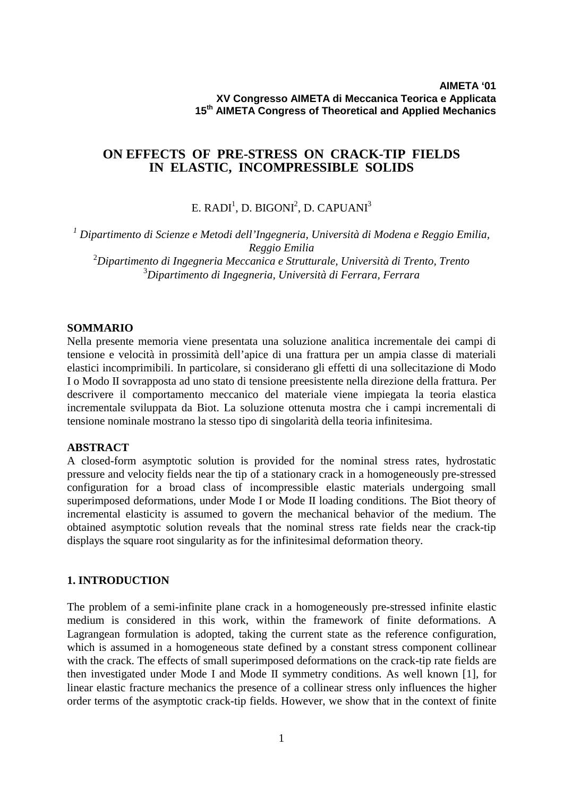# **ON EFFECTS OF PRE-STRESS ON CRACK-TIP FIELDS IN ELASTIC, INCOMPRESSIBLE SOLIDS**

E. RADI $^{\rm l}$ , D. BIGONI $^{\rm 2}$ , D. CAPUANI $^{\rm 3}$ 

  *Dipartimento di Scienze e Metodi dell'Ingegneria, Università di Modena e Reggio Emilia, Reggio Emilia Dipartimento di Ingegneria Meccanica e Strutturale, Università di Trento, Trento Dipartimento di Ingegneria, Università di Ferrara, Ferrara*

### **SOMMARIO**

Nella presente memoria viene presentata una soluzione analitica incrementale dei campi di tensione e velocità in prossimità dell'apice di una frattura per un ampia classe di materiali elastici incomprimibili. In particolare, si considerano gli effetti di una sollecitazione di Modo I o Modo II sovrapposta ad uno stato di tensione preesistente nella direzione della frattura. Per descrivere il comportamento meccanico del materiale viene impiegata la teoria elastica incrementale sviluppata da Biot. La soluzione ottenuta mostra che i campi incrementali di tensione nominale mostrano la stesso tipo di singolarità della teoria infinitesima.

## **ABSTRACT**

A closed-form asymptotic solution is provided for the nominal stress rates, hydrostatic pressure and velocity fields near the tip of a stationary crack in a homogeneously pre-stressed configuration for a broad class of incompressible elastic materials undergoing small superimposed deformations, under Mode I or Mode II loading conditions. The Biot theory of incremental elasticity is assumed to govern the mechanical behavior of the medium. The obtained asymptotic solution reveals that the nominal stress rate fields near the crack-tip displays the square root singularity as for the infinitesimal deformation theory.

## **1. INTRODUCTION**

The problem of a semi-infinite plane crack in a homogeneously pre-stressed infinite elastic medium is considered in this work, within the framework of finite deformations. A Lagrangean formulation is adopted, taking the current state as the reference configuration, which is assumed in a homogeneous state defined by a constant stress component collinear with the crack. The effects of small superimposed deformations on the crack-tip rate fields are then investigated under Mode I and Mode II symmetry conditions. As well known [1], for linear elastic fracture mechanics the presence of a collinear stress only influences the higher order terms of the asymptotic crack-tip fields. However, we show that in the context of finite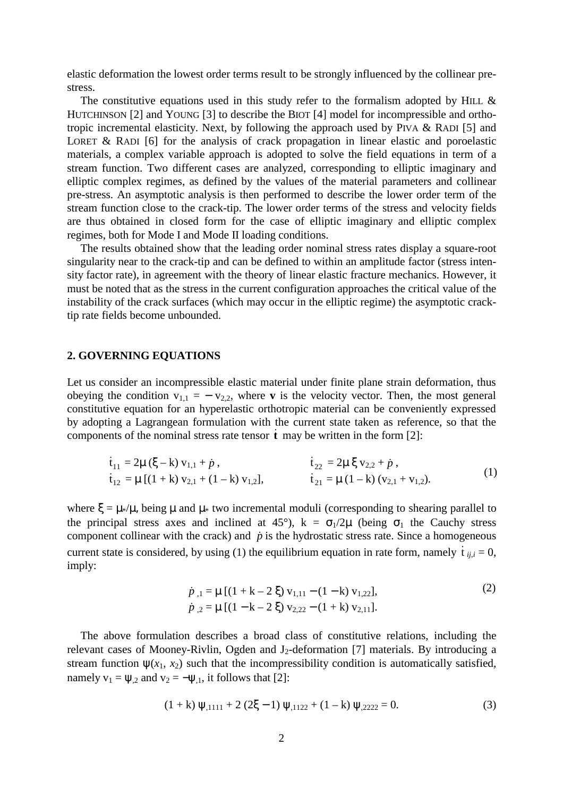elastic deformation the lowest order terms result to be strongly influenced by the collinear prestress.

The constitutive equations used in this study refer to the formalism adopted by HILL  $\&$ HUTCHINSON [2] and YOUNG [3] to describe the BIOT [4] model for incompressible and orthotropic incremental elasticity. Next, by following the approach used by PIVA & RADI [5] and LORET & RADI [6] for the analysis of crack propagation in linear elastic and poroelastic materials, a complex variable approach is adopted to solve the field equations in term of a stream function. Two different cases are analyzed, corresponding to elliptic imaginary and elliptic complex regimes, as defined by the values of the material parameters and collinear pre-stress. An asymptotic analysis is then performed to describe the lower order term of the stream function close to the crack-tip. The lower order terms of the stress and velocity fields are thus obtained in closed form for the case of elliptic imaginary and elliptic complex regimes, both for Mode I and Mode II loading conditions.

The results obtained show that the leading order nominal stress rates display a square-root singularity near to the crack-tip and can be defined to within an amplitude factor (stress intensity factor rate), in agreement with the theory of linear elastic fracture mechanics. However, it must be noted that as the stress in the current configuration approaches the critical value of the instability of the crack surfaces (which may occur in the elliptic regime) the asymptotic cracktip rate fields become unbounded.

#### **2. GOVERNING EQUATIONS**

Let us consider an incompressible elastic material under finite plane strain deformation, thus obeying the condition  $v_{1,1} = -v_{2,2}$ , where **v** is the velocity vector. Then, the most general constitutive equation for an hyperelastic orthotropic material can be conveniently expressed by adopting a Lagrangean formulation with the current state taken as reference, so that the components of the nominal stress rate tensor  $\dot{\mathbf{t}}$  may be written in the form [2]:

$$
\dot{t}_{11} = 2\mu (\xi - k) v_{1,1} + \dot{p}, \n\dot{t}_{12} = \mu [(1 + k) v_{2,1} + (1 - k) v_{1,2}], \n\dot{t}_{21} = \mu (1 - k) (v_{2,1} + v_{1,2}).
$$
\n(1)

where  $\xi = \mu \ast / \mu$ , being  $\mu$  and  $\mu \ast$  two incremental moduli (corresponding to shearing parallel to the principal stress axes and inclined at 45°),  $k = \sigma_1/2\mu$  (being  $\sigma_1$  the Cauchy stress component collinear with the crack) and  $\dot{p}$  is the hydrostatic stress rate. Since a homogeneous current state is considered, by using (1) the equilibrium equation in rate form, namely  $\dot{t}_{i,j,i} = 0$ , imply:

$$
\dot{p}_{,1} = \mu \left[ (1 + k - 2 \xi) v_{1,11} - (1 - k) v_{1,22} \right],
$$
  
\n
$$
\dot{p}_{,2} = \mu \left[ (1 - k - 2 \xi) v_{2,22} - (1 + k) v_{2,11} \right].
$$
\n(2)

The above formulation describes a broad class of constitutive relations, including the relevant cases of Mooney-Rivlin, Ogden and  $J_2$ -deformation [7] materials. By introducing a stream function  $\psi(x_1, x_2)$  such that the incompressibility condition is automatically satisfied, namely  $v_1 = \psi_2$  and  $v_2 = -\psi_1$ , it follows that [2]:

$$
(1 + k) \psi_{,1111} + 2 (2\xi - 1) \psi_{,1122} + (1 - k) \psi_{,2222} = 0.
$$
 (3)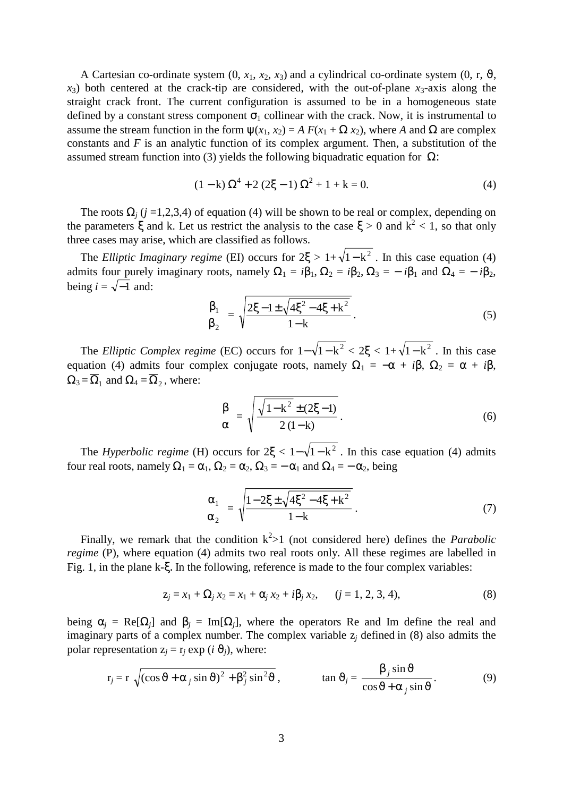A Cartesian co-ordinate system  $(0, x_1, x_2, x_3)$  and a cylindrical co-ordinate system  $(0, r, \vartheta, \vartheta)$  $x_3$ ) both centered at the crack-tip are considered, with the out-of-plane  $x_3$ -axis along the straight crack front. The current configuration is assumed to be in a homogeneous state defined by a constant stress component  $\sigma_1$  collinear with the crack. Now, it is instrumental to assume the stream function in the form  $\psi(x_1, x_2) = A F(x_1 + \Omega x_2)$ , where *A* and  $\Omega$  are complex constants and *F* is an analytic function of its complex argument. Then, a substitution of the assumed stream function into (3) yields the following biquadratic equation for  $Ω$ :

$$
(1 - k)\Omega^4 + 2(2\xi - 1)\Omega^2 + 1 + k = 0.
$$
 (4)

The roots  $\Omega$ <sub>*j*</sub> (*j* =1,2,3,4) of equation (4) will be shown to be real or complex, depending on the parameters  $\xi$  and k. Let us restrict the analysis to the case  $\xi > 0$  and  $k^2 < 1$ , so that only three cases may arise, which are classified as follows.

The *Elliptic Imaginary regime* (EI) occurs for  $2\xi > 1 + \sqrt{1-k^2}$ . In this case equation (4) admits four purely imaginary roots, namely  $\Omega_1 = i\beta_1$ ,  $\Omega_2 = i\beta_2$ ,  $\Omega_3 = -i\beta_1$  and  $\Omega_4 = -i\beta_2$ , being  $i = \sqrt{-1}$  and:

$$
\begin{cases}\n\beta_1 \\
\beta_2\n\end{cases} = \sqrt{\frac{2\xi - 1 \pm \sqrt{4\xi^2 - 4\xi + k^2}}{1 - k}}.
$$
\n(5)

The *Elliptic Complex regime* (EC) occurs for  $1-\sqrt{1-k^2} < 2\xi < 1+\sqrt{1-k^2}$ . In this case equation (4) admits four complex conjugate roots, namely  $\Omega_1 = -\alpha + i\beta$ ,  $\Omega_2 = \alpha + i\beta$ ,  $\Omega_3 = \overline{\Omega}_1$  and  $\Omega_4 = \overline{\Omega}_2$ , where:

$$
\begin{cases}\n\beta \\
\alpha\n\end{cases} = \sqrt{\frac{\sqrt{1 - k^2} \pm (2\xi - 1)}{2(1 - k)}}.
$$
\n(6)

The *Hyperbolic regime* (H) occurs for  $2\xi < 1-\sqrt{1-k^2}$ . In this case equation (4) admits four real roots, namely  $\Omega_1 = \alpha_1$ ,  $\Omega_2 = \alpha_2$ ,  $\Omega_3 = -\alpha_1$  and  $\Omega_4 = -\alpha_2$ , being

$$
\begin{pmatrix} \alpha_1 \\ \alpha_2 \end{pmatrix} = \sqrt{\frac{1 - 2\xi \pm \sqrt{4\xi^2 - 4\xi + k^2}}{1 - k}}.
$$
\n(7)

Finally, we remark that the condition  $k^2>1$  (not considered here) defines the *Parabolic regime* (P), where equation (4) admits two real roots only. All these regimes are labelled in Fig. 1, in the plane k-ξ. In the following, reference is made to the four complex variables:

$$
z_j = x_1 + \Omega_j \, x_2 = x_1 + \alpha_j \, x_2 + i\beta_j \, x_2, \qquad (j = 1, 2, 3, 4), \tag{8}
$$

being  $\alpha_i$  = Re[ $\Omega_i$ ] and  $\beta_i$  = Im[ $\Omega_i$ ], where the operators Re and Im define the real and imaginary parts of a complex number. The complex variable z*j* defined in (8) also admits the polar representation  $z_i = r_i \exp(i \theta_i)$ , where:

$$
r_j = r \sqrt{\left(\cos \vartheta + \alpha_j \sin \vartheta\right)^2 + \beta_j^2 \sin^2 \vartheta}, \qquad \tan \vartheta_j = \frac{\beta_j \sin \vartheta}{\cos \vartheta + \alpha_j \sin \vartheta}.
$$
 (9)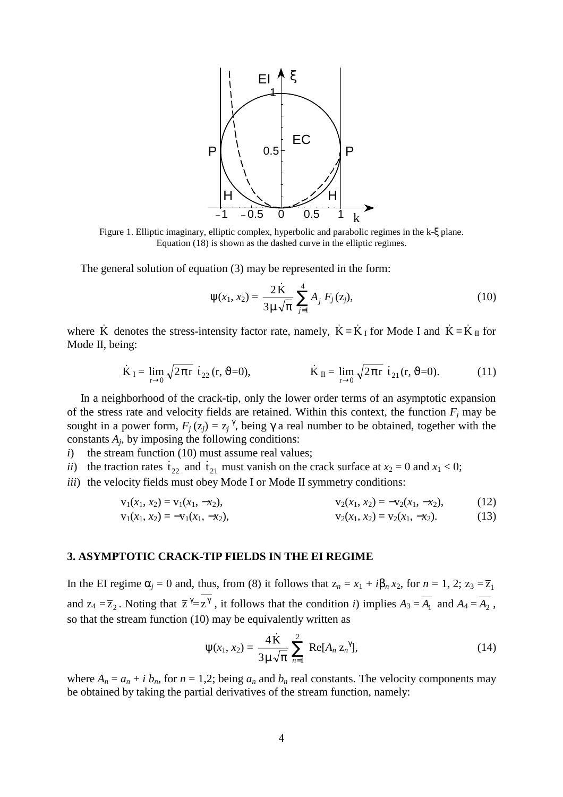

Figure 1. Elliptic imaginary, elliptic complex, hyperbolic and parabolic regimes in the k-ξ plane. Equation (18) is shown as the dashed curve in the elliptic regimes.

The general solution of equation (3) may be represented in the form:

$$
\psi(x_1, x_2) = \frac{2\dot{K}}{3\mu\sqrt{\pi}} \sum_{j=1}^{4} A_j F_j(z_j),
$$
\n(10)

where K denotes the stress-intensity factor rate, namely,  $\dot{K} = \dot{K}_{I}$  for Mode I and  $\dot{K} = \dot{K}_{II}$  for Mode II, being:

$$
\dot{\mathbf{K}}_{\rm I} = \lim_{\rm r \to 0} \sqrt{2\pi r} \, \dot{\mathbf{t}}_{22} \, (\mathbf{r}, \, \vartheta = 0), \qquad \dot{\mathbf{K}}_{\rm II} = \lim_{\rm r \to 0} \sqrt{2\pi r} \, \dot{\mathbf{t}}_{21} \, (\mathbf{r}, \, \vartheta = 0). \tag{11}
$$

In a neighborhood of the crack-tip, only the lower order terms of an asymptotic expansion of the stress rate and velocity fields are retained. Within this context, the function  $F_j$  may be sought in a power form,  $F_j(z_j) = z_j^{\gamma}$ , being  $\gamma$  a real number to be obtained, together with the constants  $A_i$ , by imposing the following conditions:

*i*) the stream function (10) must assume real values;

*ii*) the traction rates  $\dot{t}_{22}$  and  $\dot{t}_{21}$  must vanish on the crack surface at  $x_2 = 0$  and  $x_1 < 0$ ;

*iii*) the velocity fields must obey Mode I or Mode II symmetry conditions:

$$
v_1(x_1, x_2) = v_1(x_1, -x_2),
$$
  
\n
$$
v_1(x_1, x_2) = -v_1(x_1, -x_2),
$$
  
\n
$$
v_2(x_1, x_2) = -v_2(x_1, -x_2),
$$
  
\n
$$
v_2(x_1, x_2) = v_2(x_1, -x_2).
$$
  
\n(12)

### **3. ASYMPTOTIC CRACK-TIP FIELDS IN THE EI REGIME**

In the EI regime  $\alpha_j = 0$  and, thus, from (8) it follows that  $z_n = x_1 + i\beta_n x_2$ , for  $n = 1, 2$ ;  $z_3 = \overline{z}_1$ and  $z_4 = \overline{z}_2$ . Noting that  $\overline{z}^{\gamma} = z^{\gamma}$ , it follows that the condition *i*) implies  $A_3 = \overline{A_1}$  and  $A_4 = \overline{A_2}$ , so that the stream function (10) may be equivalently written as

$$
\psi(x_1, x_2) = \frac{4\,\mathrm{K}}{3\,\mu\,\sqrt{\pi}}\,\sum_{n=1}^2\,\mathrm{Re}[A_n\,z_n^{\,\gamma}],\tag{14}
$$

where  $A_n = a_n + i b_n$ , for  $n = 1,2$ ; being  $a_n$  and  $b_n$  real constants. The velocity components may be obtained by taking the partial derivatives of the stream function, namely: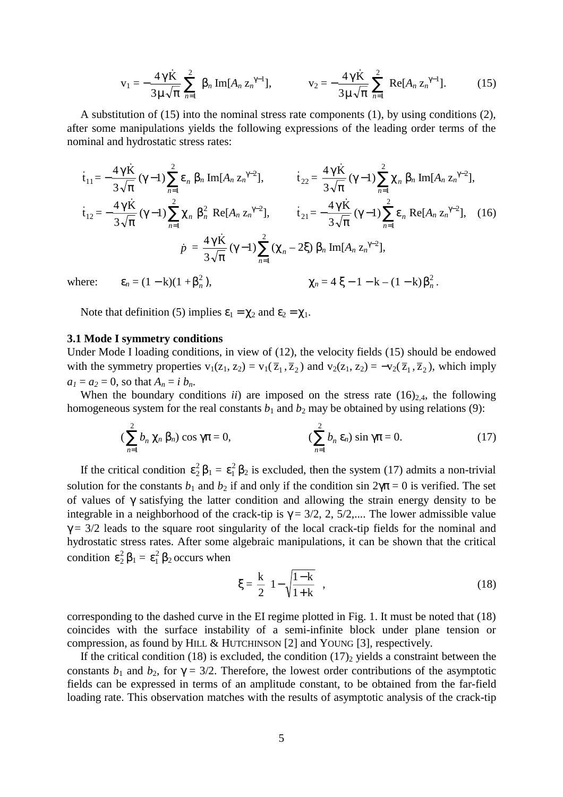$$
v_1 = -\frac{4\gamma K}{3\mu\sqrt{\pi}} \sum_{n=1}^{2} \beta_n Im[A_n z_n^{\gamma-1}], \qquad v_2 = -\frac{4\gamma K}{3\mu\sqrt{\pi}} \sum_{n=1}^{2} Re[A_n z_n^{\gamma-1}]. \qquad (15)
$$

A substitution of (15) into the nominal stress rate components (1), by using conditions (2), after some manipulations yields the following expressions of the leading order terms of the nominal and hydrostatic stress rates:

$$
\dot{t}_{11} = -\frac{4\gamma \dot{K}}{3\sqrt{\pi}} (\gamma - 1) \sum_{n=1}^{2} \varepsilon_{n} \beta_{n} \operatorname{Im}[A_{n} z_{n}^{\gamma - 2}], \qquad \dot{t}_{22} = \frac{4\gamma \dot{K}}{3\sqrt{\pi}} (\gamma - 1) \sum_{n=1}^{2} \chi_{n} \beta_{n} \operatorname{Im}[A_{n} z_{n}^{\gamma - 2}], \n\dot{t}_{12} = -\frac{4\gamma \dot{K}}{3\sqrt{\pi}} (\gamma - 1) \sum_{n=1}^{2} \chi_{n} \beta_{n}^{2} \operatorname{Re}[A_{n} z_{n}^{\gamma - 2}], \qquad \dot{t}_{21} = -\frac{4\gamma \dot{K}}{3\sqrt{\pi}} (\gamma - 1) \sum_{n=1}^{2} \varepsilon_{n} \operatorname{Re}[A_{n} z_{n}^{\gamma - 2}], \qquad (16)
$$
\n
$$
\dot{p} = \frac{4\gamma \dot{K}}{3\sqrt{\pi}} (\gamma - 1) \sum_{n=1}^{2} (\chi_{n} - 2\xi) \beta_{n} \operatorname{Im}[A_{n} z_{n}^{\gamma - 2}],
$$
\nwhere:  $\varepsilon_{n} = (1 - k)(1 + \beta_{n}^{2}), \qquad \chi_{n} = 4\xi - 1 - k - (1 - k)\beta_{n}^{2}.$ 

Note that definition (5) implies 
$$
\varepsilon_1 = \chi_2
$$
 and  $\varepsilon_2 = \chi_1$ .

#### **3.1 Mode I symmetry conditions**

Under Mode I loading conditions, in view of (12), the velocity fields (15) should be endowed with the symmetry properties  $v_1(z_1, z_2) = v_1(\overline{z}_1, \overline{z}_2)$  and  $v_2(z_1, z_2) = -v_2(\overline{z}_1, \overline{z}_2)$ , which imply  $a_1 = a_2 = 0$ , so that  $A_n = i b_n$ .

When the boundary conditions  $ii$ ) are imposed on the stress rate  $(16)_{2,4}$ , the following homogeneous system for the real constants  $b_1$  and  $b_2$  may be obtained by using relations (9):

$$
\left(\sum_{n=1}^{2}b_n\,\chi_n\,\beta_n\right)\cos\gamma\pi=0,\qquad\qquad\left(\sum_{n=1}^{2}b_n\,\varepsilon_n\right)\sin\gamma\pi=0.\tag{17}
$$

If the critical condition  $\varepsilon_2^2 \beta_1 = \varepsilon_1^2 \beta_2$  is excluded, then the system (17) admits a non-trivial solution for the constants  $b_1$  and  $b_2$  if and only if the condition sin  $2\gamma\pi = 0$  is verified. The set of values of γ satisfying the latter condition and allowing the strain energy density to be integrable in a neighborhood of the crack-tip is  $\gamma = 3/2, 2, 5/2,...$  The lower admissible value  $\gamma$  = 3/2 leads to the square root singularity of the local crack-tip fields for the nominal and hydrostatic stress rates. After some algebraic manipulations, it can be shown that the critical condition  $\varepsilon_2^2 \beta_1 = \varepsilon_1^2 \beta_2$  occurs when

$$
\xi = \frac{k}{2} \left( 1 - \sqrt{\frac{1-k}{1+k}} \right),\tag{18}
$$

corresponding to the dashed curve in the EI regime plotted in Fig. 1. It must be noted that (18) coincides with the surface instability of a semi-infinite block under plane tension or compression, as found by HILL & HUTCHINSON [2] and YOUNG [3], respectively.

If the critical condition (18) is excluded, the condition  $(17)_2$  yields a constraint between the constants  $b_1$  and  $b_2$ , for  $\gamma = 3/2$ . Therefore, the lowest order contributions of the asymptotic fields can be expressed in terms of an amplitude constant, to be obtained from the far-field loading rate. This observation matches with the results of asymptotic analysis of the crack-tip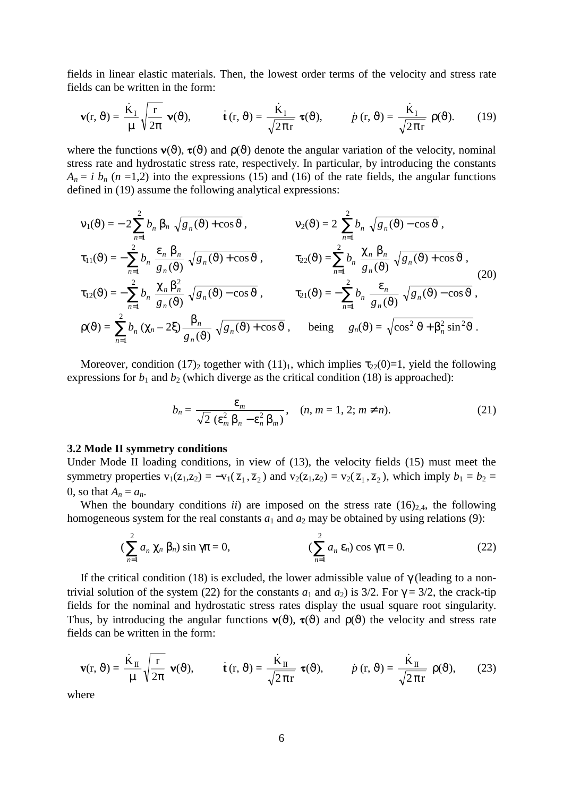fields in linear elastic materials. Then, the lowest order terms of the velocity and stress rate fields can be written in the form:

$$
\mathbf{v}(\mathbf{r},\vartheta) = \frac{\dot{\mathbf{K}}_{\mathrm{I}}}{\mu} \sqrt{\frac{\mathbf{r}}{2\pi}} \mathbf{v}(\vartheta), \qquad \dot{\mathbf{t}}(\mathbf{r},\vartheta) = \frac{\dot{\mathbf{K}}_{\mathrm{I}}}{\sqrt{2\pi\mathbf{r}}} \mathbf{\tau}(\vartheta), \qquad \dot{p}(\mathbf{r},\vartheta) = \frac{\dot{\mathbf{K}}_{\mathrm{I}}}{\sqrt{2\pi\mathbf{r}}} \rho(\vartheta). \qquad (19)
$$

where the functions  $\mathbf{v}(\vartheta)$ ,  $\mathbf{\tau}(\vartheta)$  and  $\rho(\vartheta)$  denote the angular variation of the velocity, nominal stress rate and hydrostatic stress rate, respectively. In particular, by introducing the constants  $A_n = i b_n (n = 1,2)$  into the expressions (15) and (16) of the rate fields, the angular functions defined in (19) assume the following analytical expressions:

$$
v_1(\vartheta) = -2\sum_{n=1}^{2} b_n \beta_n \sqrt{g_n(\vartheta) + \cos \vartheta}, \qquad v_2(\vartheta) = 2\sum_{n=1}^{2} b_n \sqrt{g_n(\vartheta) - \cos \vartheta},
$$
  
\n
$$
\tau_{11}(\vartheta) = -\sum_{n=1}^{2} b_n \frac{\varepsilon_n \beta_n}{g_n(\vartheta)} \sqrt{g_n(\vartheta) + \cos \vartheta}, \qquad \tau_{22}(\vartheta) = \sum_{n=1}^{2} b_n \frac{\chi_n \beta_n}{g_n(\vartheta)} \sqrt{g_n(\vartheta) + \cos \vartheta},
$$
  
\n
$$
\tau_{12}(\vartheta) = -\sum_{n=1}^{2} b_n \frac{\chi_n \beta_n^2}{g_n(\vartheta)} \sqrt{g_n(\vartheta) - \cos \vartheta}, \qquad \tau_{21}(\vartheta) = -\sum_{n=1}^{2} b_n \frac{\varepsilon_n}{g_n(\vartheta)} \sqrt{g_n(\vartheta) - \cos \vartheta},
$$
  
\n
$$
\rho(\vartheta) = \sum_{n=1}^{2} b_n (\chi_n - 2\xi) \frac{\beta_n}{g_n(\vartheta)} \sqrt{g_n(\vartheta) + \cos \vartheta}, \qquad \text{being} \qquad g_n(\vartheta) = \sqrt{\cos^2 \vartheta + \beta_n^2 \sin^2 \vartheta}.
$$
  
\n(20)

Moreover, condition (17)<sub>2</sub> together with (11)<sub>1</sub>, which implies  $\tau_{22}(0)=1$ , yield the following expressions for  $b_1$  and  $b_2$  (which diverge as the critical condition (18) is approached):

$$
b_n = \frac{\varepsilon_m}{\sqrt{2} (\varepsilon_m^2 \beta_n - \varepsilon_n^2 \beta_m)}, \quad (n, m = 1, 2; m \neq n). \tag{21}
$$

#### **3.2 Mode II symmetry conditions**

Under Mode II loading conditions, in view of (13), the velocity fields (15) must meet the symmetry properties  $v_1(z_1,z_2) = -v_1(\overline{z}_1,\overline{z}_2)$  and  $v_2(z_1,z_2) = v_2(\overline{z}_1,\overline{z}_2)$ , which imply  $b_1 = b_2 =$ 0, so that  $A_n = a_n$ .

When the boundary conditions *ii*) are imposed on the stress rate  $(16)_{2,4}$ , the following homogeneous system for the real constants  $a_1$  and  $a_2$  may be obtained by using relations (9):

$$
\left(\sum_{n=1}^{2} a_n \chi_n \beta_n\right) \sin \gamma \pi = 0, \qquad \qquad \left(\sum_{n=1}^{2} a_n \varepsilon_n\right) \cos \gamma \pi = 0. \tag{22}
$$

If the critical condition (18) is excluded, the lower admissible value of  $\gamma$  (leading to a nontrivial solution of the system (22) for the constants  $a_1$  and  $a_2$ ) is 3/2. For  $\gamma = 3/2$ , the crack-tip fields for the nominal and hydrostatic stress rates display the usual square root singularity. Thus, by introducing the angular functions  $\mathbf{v}(\vartheta)$ ,  $\mathbf{\tau}(\vartheta)$  and  $\rho(\vartheta)$  the velocity and stress rate fields can be written in the form:

$$
\mathbf{v}(\mathbf{r},\vartheta) = \frac{\dot{\mathbf{K}}_{\mathrm{II}}}{\mu} \sqrt{\frac{\mathbf{r}}{2\pi}} \mathbf{v}(\vartheta), \qquad \dot{\mathbf{t}}(\mathbf{r},\vartheta) = \frac{\dot{\mathbf{K}}_{\mathrm{II}}}{\sqrt{2\pi\mathbf{r}}} \mathbf{\tau}(\vartheta), \qquad \dot{p}(\mathbf{r},\vartheta) = \frac{\dot{\mathbf{K}}_{\mathrm{II}}}{\sqrt{2\pi\mathbf{r}}} \rho(\vartheta), \qquad (23)
$$

where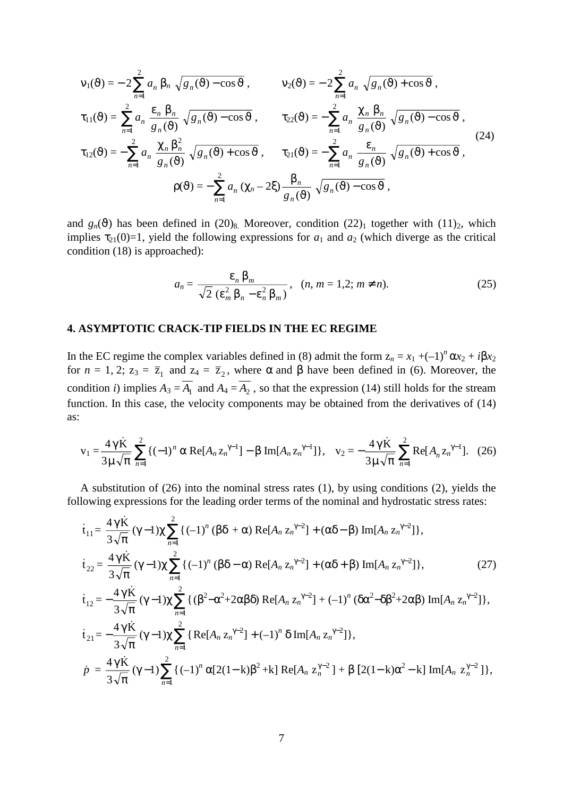$$
v_1(\vartheta) = -2\sum_{n=1}^{2} a_n \beta_n \sqrt{g_n(\vartheta) - \cos \vartheta}, \qquad v_2(\vartheta) = -2\sum_{n=1}^{2} a_n \sqrt{g_n(\vartheta) + \cos \vartheta},
$$
  
\n
$$
\tau_{11}(\vartheta) = \sum_{n=1}^{2} a_n \frac{\varepsilon_n \beta_n}{g_n(\vartheta)} \sqrt{g_n(\vartheta) - \cos \vartheta}, \qquad \tau_{22}(\vartheta) = -\sum_{n=1}^{2} a_n \frac{\chi_n \beta_n}{g_n(\vartheta)} \sqrt{g_n(\vartheta) - \cos \vartheta},
$$
  
\n
$$
\tau_{12}(\vartheta) = -\sum_{n=1}^{2} a_n \frac{\chi_n \beta_n^2}{g_n(\vartheta)} \sqrt{g_n(\vartheta) + \cos \vartheta}, \qquad \tau_{21}(\vartheta) = -\sum_{n=1}^{2} a_n \frac{\varepsilon_n}{g_n(\vartheta)} \sqrt{g_n(\vartheta) + \cos \vartheta},
$$
  
\n
$$
\rho(\vartheta) = -\sum_{n=1}^{2} a_n (\chi_n - 2\xi) \frac{\beta_n}{g_n(\vartheta)} \sqrt{g_n(\vartheta) - \cos \vartheta},
$$
  
\n(24)

and  $g_n(\vartheta)$  has been defined in  $(20)_8$ . Moreover, condition  $(22)_1$  together with  $(11)_2$ , which implies  $\tau_{21}(0)=1$ , yield the following expressions for  $a_1$  and  $a_2$  (which diverge as the critical condition (18) is approached):

$$
a_n = \frac{\varepsilon_n \beta_m}{\sqrt{2} (\varepsilon_m^2 \beta_n - \varepsilon_n^2 \beta_m)}, \quad (n, m = 1, 2; m \neq n). \tag{25}
$$

#### **4. ASYMPTOTIC CRACK-TIP FIELDS IN THE EC REGIME**

In the EC regime the complex variables defined in (8) admit the form  $z_n = x_1 + (-1)^n \alpha x_2 + i \beta x_2$ for  $n = 1, 2$ ;  $z_3 = \overline{z}_1$  and  $z_4 = \overline{z}_2$ , where  $\alpha$  and  $\beta$  have been defined in (6). Moreover, the condition *i*) implies  $A_3 = \overline{A_1}$  and  $A_4 = \overline{A_2}$ , so that the expression (14) still holds for the stream function. In this case, the velocity components may be obtained from the derivatives of (14) as:

$$
v_1 = \frac{4\gamma \dot{K}}{3\mu \sqrt{\pi}} \sum_{n=1}^{2} \{ (-1)^n \alpha \text{Re}[A_n z_n^{\gamma-1}] - \beta \text{Im}[A_n z_n^{\gamma-1}] \}, \quad v_2 = -\frac{4\gamma \dot{K}}{3\mu \sqrt{\pi}} \sum_{n=1}^{2} \text{Re}[A_n z_n^{\gamma-1}] \}.
$$
 (26)

A substitution of (26) into the nominal stress rates (1), by using conditions (2), yields the following expressions for the leading order terms of the nominal and hydrostatic stress rates:

$$
\dot{t}_{11} = \frac{4\gamma \dot{K}}{3\sqrt{\pi}} (\gamma - 1) \chi \sum_{n=1}^{2} \{ (-1)^{n} (\beta \delta + \alpha) \operatorname{Re}[A_{n} z_{n}^{\gamma - 2}] + (\alpha \delta - \beta) \operatorname{Im}[A_{n} z_{n}^{\gamma - 2}] \},
$$
\n
$$
\dot{t}_{22} = \frac{4\gamma \dot{K}}{3\sqrt{\pi}} (\gamma - 1) \chi \sum_{n=1}^{2} \{ (-1)^{n} (\beta \delta - \alpha) \operatorname{Re}[A_{n} z_{n}^{\gamma - 2}] + (\alpha \delta + \beta) \operatorname{Im}[A_{n} z_{n}^{\gamma - 2}] \}, \qquad (27)
$$
\n
$$
\dot{t}_{12} = -\frac{4\gamma \dot{K}}{3\sqrt{\pi}} (\gamma - 1) \chi \sum_{n=1}^{2} \{ (\beta^{2} - \alpha^{2} + 2\alpha \beta \delta) \operatorname{Re}[A_{n} z_{n}^{\gamma - 2}] + (-1)^{n} (\delta \alpha^{2} - \delta \beta^{2} + 2\alpha \beta) \operatorname{Im}[A_{n} z_{n}^{\gamma - 2}] \},
$$
\n
$$
\dot{t}_{21} = -\frac{4\gamma \dot{K}}{3\sqrt{\pi}} (\gamma - 1) \chi \sum_{n=1}^{2} \{ \operatorname{Re}[A_{n} z_{n}^{\gamma - 2}] + (-1)^{n} \delta \operatorname{Im}[A_{n} z_{n}^{\gamma - 2}] \},
$$
\n
$$
\dot{p} = \frac{4\gamma \dot{K}}{3\sqrt{\pi}} (\gamma - 1) \sum_{n=1}^{2} \{ (-1)^{n} \alpha [2(1 - k) \beta^{2} + k] \operatorname{Re}[A_{n} z_{n}^{\gamma - 2}] + \beta [2(1 - k) \alpha^{2} - k] \operatorname{Im}[A_{n} z_{n}^{\gamma - 2}] \},
$$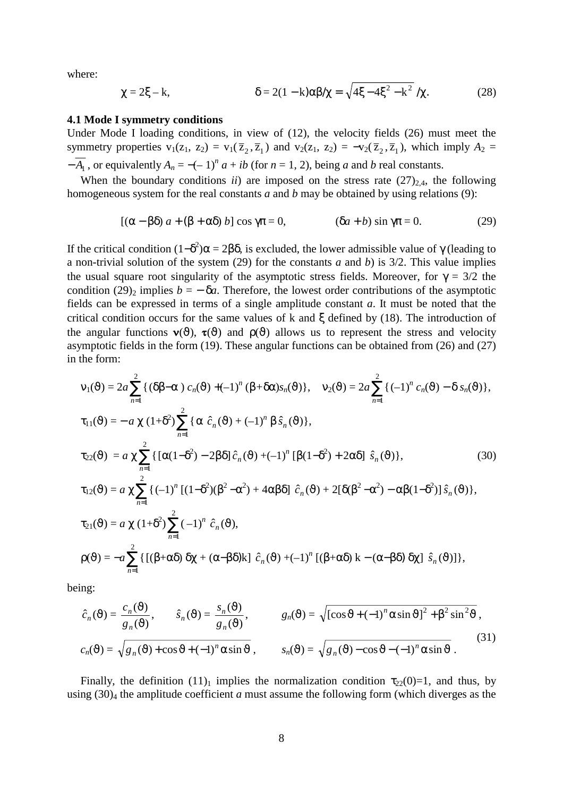where:

$$
\chi = 2\xi - k, \qquad \delta = 2(1 - k)\alpha\beta/\chi = \sqrt{4\xi - 4\xi^2 - k^2}/\chi. \tag{28}
$$

### **4.1 Mode I symmetry conditions**

Under Mode I loading conditions, in view of (12), the velocity fields (26) must meet the symmetry properties  $v_1(z_1, z_2) = v_1(\overline{z}_2, \overline{z}_1)$  and  $v_2(z_1, z_2) = -v_2(\overline{z}_2, \overline{z}_1)$ , which imply  $A_2 =$  $-\overline{A_1}$ , or equivalently  $A_n = -(-1)^n a + ib$  (for  $n = 1, 2$ ), being *a* and *b* real constants.

When the boundary conditions *ii*) are imposed on the stress rate  $(27)_{2,4}$ , the following homogeneous system for the real constants *a* and *b* may be obtained by using relations (9):

$$
[(\alpha - \beta \delta) a + (\beta + \alpha \delta) b] \cos \gamma \pi = 0, \qquad (\delta a + b) \sin \gamma \pi = 0.
$$
 (29)

If the critical condition  $(1-\delta^2)\alpha = 2\beta\delta$ , is excluded, the lower admissible value of γ (leading to a non-trivial solution of the system (29) for the constants *a* and *b*) is 3/2. This value implies the usual square root singularity of the asymptotic stress fields. Moreover, for  $\gamma = 3/2$  the condition (29)<sub>2</sub> implies  $b = -\delta a$ . Therefore, the lowest order contributions of the asymptotic fields can be expressed in terms of a single amplitude constant *a*. It must be noted that the critical condition occurs for the same values of k and ξ defined by (18). The introduction of the angular functions  $\mathbf{v}(\vartheta)$ ,  $\mathbf{\tau}(\vartheta)$  and  $\rho(\vartheta)$  allows us to represent the stress and velocity asymptotic fields in the form (19). These angular functions can be obtained from (26) and (27) in the form:

$$
\mathbf{v}_{1}(\vartheta) = 2a \sum_{n=1}^{2} \{ (\delta\beta - \alpha) c_{n}(\vartheta) + (-1)^{n} (\beta + \delta\alpha) s_{n}(\vartheta) \}, \quad \mathbf{v}_{2}(\vartheta) = 2a \sum_{n=1}^{2} \{ (-1)^{n} c_{n}(\vartheta) - \delta s_{n}(\vartheta) \},
$$
  
\n
$$
\tau_{11}(\vartheta) = -a \chi (1 + \delta^{2}) \sum_{n=1}^{2} \{ \alpha \hat{c}_{n}(\vartheta) + (-1)^{n} \beta \hat{s}_{n}(\vartheta) \},
$$
  
\n
$$
\tau_{22}(\vartheta) = a \chi \sum_{n=1}^{2} \{ [\alpha(1 - \delta^{2}) - 2\beta \delta] \hat{c}_{n}(\vartheta) + (-1)^{n} [\beta(1 - \delta^{2}) + 2\alpha \delta] \hat{s}_{n}(\vartheta) \},
$$
  
\n
$$
\tau_{12}(\vartheta) = a \chi \sum_{n=1}^{2} \{ (-1)^{n} [(1 - \delta^{2})(\beta^{2} - \alpha^{2}) + 4\alpha \beta \delta] \hat{c}_{n}(\vartheta) + 2[\delta(\beta^{2} - \alpha^{2}) - \alpha \beta(1 - \delta^{2})] \hat{s}_{n}(\vartheta) \},
$$
  
\n
$$
\tau_{21}(\vartheta) = a \chi (1 + \delta^{2}) \sum_{n=1}^{2} (-1)^{n} \hat{c}_{n}(\vartheta),
$$
  
\n
$$
\rho(\vartheta) = -a \sum_{n=1}^{2} \{ [(\beta + \alpha \delta) \delta\chi + (\alpha - \beta \delta)k] \hat{c}_{n}(\vartheta) + (-1)^{n} [(\beta + \alpha \delta)k - (\alpha - \beta \delta) \delta\chi] \hat{s}_{n}(\vartheta) ] \},
$$
\n(30)

being:

$$
\hat{c}_n(\vartheta) = \frac{c_n(\vartheta)}{g_n(\vartheta)}, \qquad \hat{s}_n(\vartheta) = \frac{s_n(\vartheta)}{g_n(\vartheta)}, \qquad g_n(\vartheta) = \sqrt{[\cos \vartheta + (-1)^n \alpha \sin \vartheta]^2 + \beta^2 \sin^2 \vartheta},
$$
  

$$
c_n(\vartheta) = \sqrt{g_n(\vartheta) + \cos \vartheta + (-1)^n \alpha \sin \vartheta}, \qquad s_n(\vartheta) = \sqrt{g_n(\vartheta) - \cos \vartheta - (-1)^n \alpha \sin \vartheta}.
$$
  
(31)

Finally, the definition  $(11)<sub>1</sub>$  implies the normalization condition  $\tau_{22}(0)=1$ , and thus, by using (30)4 the amplitude coefficient *a* must assume the following form (which diverges as the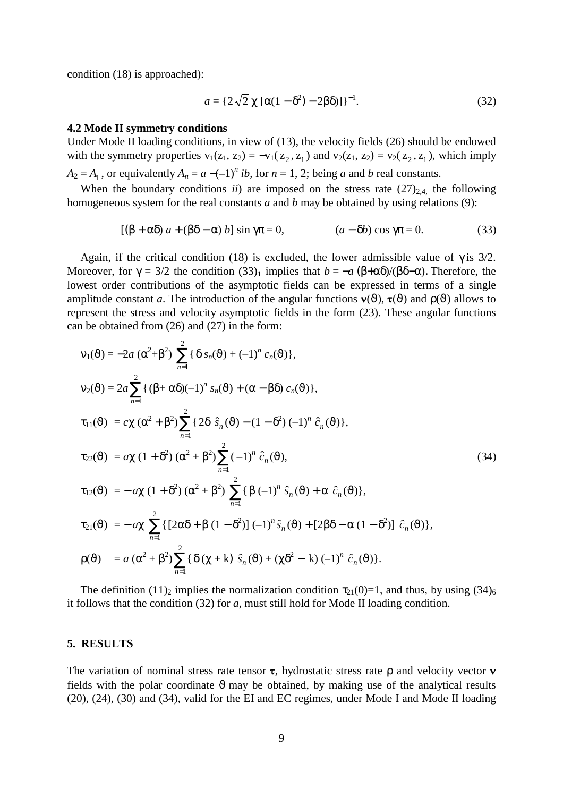condition (18) is approached):

$$
a = \{2\sqrt{2}\chi[\alpha(1-\delta^2)-2\beta\delta)]\}^{-1}.
$$
 (32)

#### **4.2 Mode II symmetry conditions**

Under Mode II loading conditions, in view of (13), the velocity fields (26) should be endowed with the symmetry properties  $v_1(z_1, z_2) = -v_1(\overline{z}_2, \overline{z}_1)$  and  $v_2(z_1, z_2) = v_2(\overline{z}_2, \overline{z}_1)$ , which imply *A*<sub>2</sub> =  $\overline{A_1}$ , or equivalently  $A_n = a -(-1)^n$  *ib*, for  $n = 1, 2$ ; being *a* and *b* real constants.

When the boundary conditions *ii*) are imposed on the stress rate  $(27)_{2,4}$ , the following homogeneous system for the real constants *a* and *b* may be obtained by using relations (9):

$$
[(\beta + \alpha \delta) a + (\beta \delta - \alpha) b] \sin \gamma \pi = 0, \qquad (a - \delta b) \cos \gamma \pi = 0.
$$
 (33)

Again, if the critical condition (18) is excluded, the lower admissible value of  $\gamma$  is 3/2. Moreover, for  $\gamma = 3/2$  the condition  $(33)_1$  implies that  $b = -a (\beta + \alpha \delta)/(\beta \delta - \alpha)$ . Therefore, the lowest order contributions of the asymptotic fields can be expressed in terms of a single amplitude constant *a*. The introduction of the angular functions  $\mathbf{v}(\vartheta)$ ,  $\mathbf{\tau}(\vartheta)$  and  $\rho(\vartheta)$  allows to represent the stress and velocity asymptotic fields in the form (23). These angular functions can be obtained from (26) and (27) in the form:

$$
v_{1}(\vartheta) = -2a (\alpha^{2} + \beta^{2}) \sum_{n=1}^{2} {\delta s_{n}(\vartheta) + (-1)^{n} c_{n}(\vartheta)},
$$
  
\n
$$
v_{2}(\vartheta) = 2a \sum_{n=1}^{2} {(\beta + \alpha \delta)(-1)^{n} s_{n}(\vartheta) + (\alpha - \beta \delta) c_{n}(\vartheta)},
$$
  
\n
$$
\tau_{11}(\vartheta) = c \chi (\alpha^{2} + \beta^{2}) \sum_{n=1}^{2} {2 \delta \hat{s}_{n}(\vartheta) - (1 - \delta^{2}) (-1)^{n} \hat{c}_{n}(\vartheta)},
$$
  
\n
$$
\tau_{22}(\vartheta) = a \chi (1 + \delta^{2}) (\alpha^{2} + \beta^{2}) \sum_{n=1}^{2} (-1)^{n} \hat{c}_{n}(\vartheta),
$$
  
\n
$$
\tau_{12}(\vartheta) = -a \chi (1 + \delta^{2}) (\alpha^{2} + \beta^{2}) \sum_{n=1}^{2} {\beta (-1)^{n} \hat{s}_{n}(\vartheta) + \alpha \hat{c}_{n}(\vartheta)},
$$
  
\n
$$
\tau_{21}(\vartheta) = -a \chi \sum_{n=1}^{2} { [2 \alpha \delta + \beta (1 - \delta^{2})] (-1)^{n} \hat{s}_{n}(\vartheta) + [2 \beta \delta - \alpha (1 - \delta^{2})] \hat{c}_{n}(\vartheta)},
$$
  
\n
$$
\rho(\vartheta) = a (\alpha^{2} + \beta^{2}) \sum_{n=1}^{2} {\delta (\chi + k) \hat{s}_{n}(\vartheta) + (\chi \delta^{2} - k) (-1)^{n} \hat{c}_{n}(\vartheta)}.
$$
  
\n(34)

The definition (11)<sub>2</sub> implies the normalization condition  $\tau_{21}(0)=1$ , and thus, by using (34)<sub>6</sub> it follows that the condition (32) for *a*, must still hold for Mode II loading condition.

### **5. RESULTS**

The variation of nominal stress rate tensor **τ**, hydrostatic stress rate ρ and velocity vector **ν** fields with the polar coordinate  $\vartheta$  may be obtained, by making use of the analytical results (20), (24), (30) and (34), valid for the EI and EC regimes, under Mode I and Mode II loading